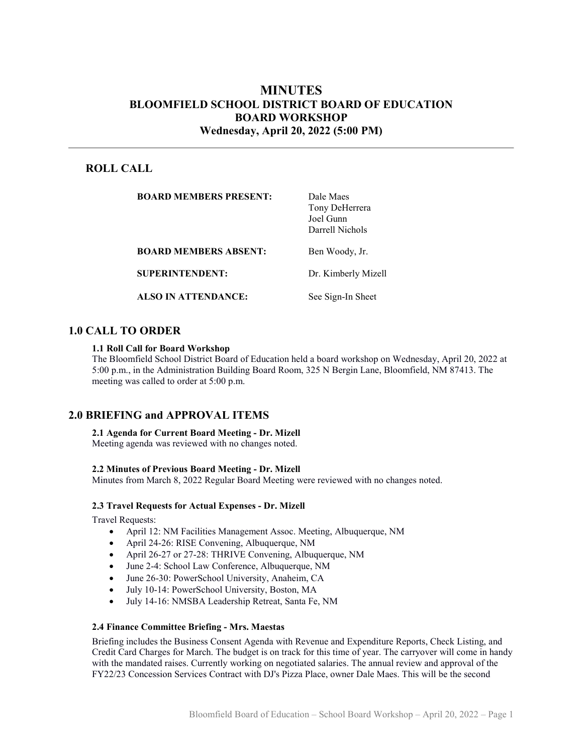# MINUTES BLOOMFIELD SCHOOL DISTRICT BOARD OF EDUCATION BOARD WORKSHOP Wednesday, April 20, 2022 (5:00 PM)

# ROLL CALL

| <b>BOARD MEMBERS PRESENT:</b> | Dale Maes<br>Tony DeHerrera<br>Joel Gunn<br>Darrell Nichols |
|-------------------------------|-------------------------------------------------------------|
| <b>BOARD MEMBERS ABSENT:</b>  | Ben Woody, Jr.                                              |
| <b>SUPERINTENDENT:</b>        | Dr. Kimberly Mizell                                         |
| <b>ALSO IN ATTENDANCE:</b>    | See Sign-In Sheet                                           |

# 1.0 CALL TO ORDER

#### 1.1 Roll Call for Board Workshop

The Bloomfield School District Board of Education held a board workshop on Wednesday, April 20, 2022 at 5:00 p.m., in the Administration Building Board Room, 325 N Bergin Lane, Bloomfield, NM 87413. The meeting was called to order at 5:00 p.m.

## 2.0 BRIEFING and APPROVAL ITEMS

#### 2.1 Agenda for Current Board Meeting - Dr. Mizell

Meeting agenda was reviewed with no changes noted.

#### 2.2 Minutes of Previous Board Meeting - Dr. Mizell

Minutes from March 8, 2022 Regular Board Meeting were reviewed with no changes noted.

#### 2.3 Travel Requests for Actual Expenses - Dr. Mizell

Travel Requests:

- April 12: NM Facilities Management Assoc. Meeting, Albuquerque, NM
- April 24-26: RISE Convening, Albuquerque, NM
- April 26-27 or 27-28: THRIVE Convening, Albuquerque, NM
- June 2-4: School Law Conference, Albuquerque, NM
- June 26-30: PowerSchool University, Anaheim, CA
- July 10-14: PowerSchool University, Boston, MA
- July 14-16: NMSBA Leadership Retreat, Santa Fe, NM

### 2.4 Finance Committee Briefing - Mrs. Maestas

Briefing includes the Business Consent Agenda with Revenue and Expenditure Reports, Check Listing, and Credit Card Charges for March. The budget is on track for this time of year. The carryover will come in handy with the mandated raises. Currently working on negotiated salaries. The annual review and approval of the FY22/23 Concession Services Contract with DJ's Pizza Place, owner Dale Maes. This will be the second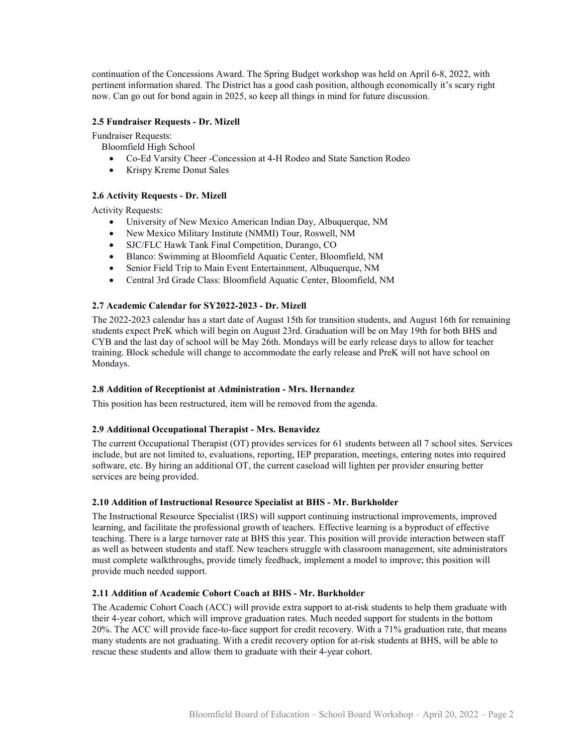continuation of the Concessions Award. The Spring Budget workshop was held on April 6-8, 2022, with pertinent information shared. The District has a good cash position, although economically it's scary right now. Can go out for bond again in 2025, so keep all things in mind for future discussion.

### 2.5 Fundraiser Requests - Dr. Mizell

Fundraiser Requests:

Bloomfield High School

- Co-Ed Varsity Cheer -Concession at 4-H Rodeo and State Sanction Rodeo
- Krispy Kreme Donut Sales

## 2.6 Activity Requests - Dr. Mizell

Activity Requests:

- University of New Mexico American Indian Day, Albuquerque, NM
- New Mexico Military Institute (NMMI) Tour, Roswell, NM
- SJC/FLC Hawk Tank Final Competition, Durango, CO
- Blanco: Swimming at Bloomfield Aquatic Center, Bloomfield, NM
- Senior Field Trip to Main Event Entertainment, Albuquerque, NM
- Central 3rd Grade Class: Bloomfield Aquatic Center, Bloomfield, NM

## 2.7 Academic Calendar for SY2022-2023 - Dr. Mizell

The 2022-2023 calendar has a start date of August 15th for transition students, and August 16th for remaining students expect PreK which will begin on August 23rd. Graduation will be on May 19th for both BHS and CYB and the last day of school will be May 26th. Mondays will be early release days to allow for teacher training. Block schedule will change to accommodate the early release and PreK will not have school on Mondays.

### 2.8 Addition of Receptionist at Administration - Mrs. Hernandez

This position has been restructured, item will be removed from the agenda.

### 2.9 Additional Occupational Therapist - Mrs. Benavidez

The current Occupational Therapist (OT) provides services for 61 students between all 7 school sites. Services include, but are not limited to, evaluations, reporting, IEP preparation, meetings, entering notes into required software, etc. By hiring an additional OT, the current caseload will lighten per provider ensuring better services are being provided.

### 2.10 Addition of Instructional Resource Specialist at BHS - Mr. Burkholder

The Instructional Resource Specialist (IRS) will support continuing instructional improvements, improved learning, and facilitate the professional growth of teachers. Effective learning is a byproduct of effective teaching. There is a large turnover rate at BHS this year. This position will provide interaction between staff as well as between students and staff. New teachers struggle with classroom management, site administrators must complete walkthroughs, provide timely feedback, implement a model to improve; this position will provide much needed support.

### 2.11 Addition of Academic Cohort Coach at BHS - Mr. Burkholder

The Academic Cohort Coach (ACC) will provide extra support to at-risk students to help them graduate with their 4-year cohort, which will improve graduation rates. Much needed support for students in the bottom 20%. The ACC will provide face-to-face support for credit recovery. With a 71% graduation rate, that means many students are not graduating. With a credit recovery option for at-risk students at BHS, will be able to rescue these students and allow them to graduate with their 4-year cohort.